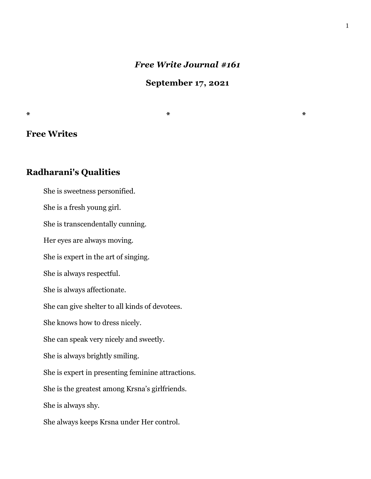# *Free Write Journal #161*

**September 17, 2021**

# **Free Writes**

# **Radharani's Qualities**

 She is sweetness personified. She is a fresh young girl. She is transcendentally cunning. Her eyes are always moving. She is expert in the art of singing. She is always respectful. She is always affectionate. She can give shelter to all kinds of devotees. She knows how to dress nicely. She can speak very nicely and sweetly. She is always brightly smiling. She is expert in presenting feminine attractions. She is the greatest among Krsna's girlfriends. She is always shy.

She always keeps Krsna under Her control.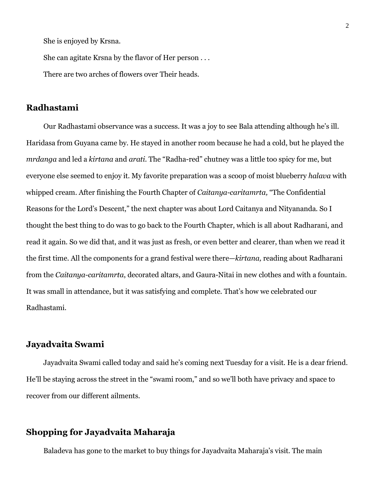She is enjoyed by Krsna.

She can agitate Krsna by the flavor of Her person . . .

There are two arches of flowers over Their heads.

# **Radhastami**

 Our Radhastami observance was a success. It was a joy to see Bala attending although he's ill. Haridasa from Guyana came by. He stayed in another room because he had a cold, but he played the *mrdanga* and led a *kirtana* and *arati.* The "Radha-red" chutney was a little too spicy for me, but everyone else seemed to enjoy it. My favorite preparation was a scoop of moist blueberry *halava* with whipped cream. After finishing the Fourth Chapter of *Caitanya-caritamrta,* "The Confidential Reasons for the Lord's Descent," the next chapter was about Lord Caitanya and Nityananda. So I thought the best thing to do was to go back to the Fourth Chapter, which is all about Radharani, and read it again. So we did that, and it was just as fresh, or even better and clearer, than when we read it the first time. All the components for a grand festival were there—*kirtana,* reading about Radharani from the *Caitanya-caritamrta*, decorated altars, and Gaura-Nitai in new clothes and with a fountain. It was small in attendance, but it was satisfying and complete. That's how we celebrated our Radhastami.

# **Jayadvaita Swami**

 Jayadvaita Swami called today and said he's coming next Tuesday for a visit. He is a dear friend. He'll be staying across the street in the "swami room," and so we'll both have privacy and space to recover from our different ailments.

# **Shopping for Jayadvaita Maharaja**

Baladeva has gone to the market to buy things for Jayadvaita Maharaja's visit. The main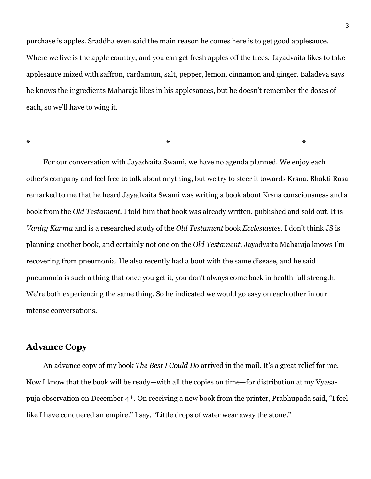purchase is apples. Sraddha even said the main reason he comes here is to get good applesauce. Where we live is the apple country, and you can get fresh apples off the trees. Jayadvaita likes to take applesauce mixed with saffron, cardamom, salt, pepper, lemon, cinnamon and ginger. Baladeva says he knows the ingredients Maharaja likes in his applesauces, but he doesn't remember the doses of each, so we'll have to wing it.

**\* \* \***

 For our conversation with Jayadvaita Swami, we have no agenda planned. We enjoy each other's company and feel free to talk about anything, but we try to steer it towards Krsna. Bhakti Rasa remarked to me that he heard Jayadvaita Swami was writing a book about Krsna consciousness and a book from the *Old Testament.* I told him that book was already written, published and sold out. It is *Vanity Karma* and is a researched study of the *Old Testament* book *Ecclesiastes*. I don't think JS is planning another book, and certainly not one on the *Old Testament.* Jayadvaita Maharaja knows I'm recovering from pneumonia. He also recently had a bout with the same disease, and he said pneumonia is such a thing that once you get it, you don't always come back in health full strength. We're both experiencing the same thing. So he indicated we would go easy on each other in our intense conversations.

# **Advance Copy**

 An advance copy of my book *The Best I Could Do* arrived in the mail. It's a great relief for me. Now I know that the book will be ready—with all the copies on time—for distribution at my Vyasapuja observation on December 4th. On receiving a new book from the printer, Prabhupada said, "I feel like I have conquered an empire." I say, "Little drops of water wear away the stone."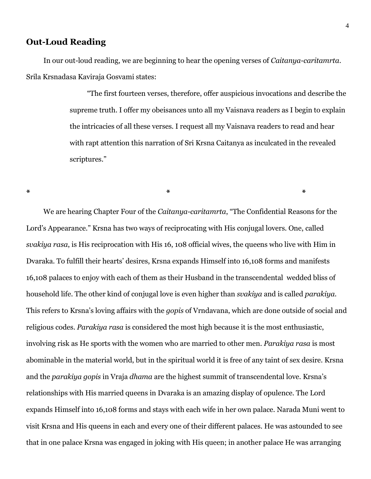# **Out-Loud Reading**

 In our out-loud reading, we are beginning to hear the opening verses of *Caitanya-caritamrta*. Srila Krsnadasa Kaviraja Gosvami states:

**\* \* \***

 "The first fourteen verses, therefore, offer auspicious invocations and describe the supreme truth. I offer my obeisances unto all my Vaisnava readers as I begin to explain the intricacies of all these verses. I request all my Vaisnava readers to read and hear with rapt attention this narration of Sri Krsna Caitanya as inculcated in the revealed scriptures."

 We are hearing Chapter Four of the *Caitanya-caritamrta*, "The Confidential Reasons for the Lord's Appearance." Krsna has two ways of reciprocating with His conjugal lovers. One, called *svakiya rasa*, is His reciprocation with His 16, 108 official wives, the queens who live with Him in Dvaraka. To fulfill their hearts' desires, Krsna expands Himself into 16,108 forms and manifests 16,108 palaces to enjoy with each of them as their Husband in the transcendental wedded bliss of household life. The other kind of conjugal love is even higher than *svakiya* and is called *parakiya.*  This refers to Krsna's loving affairs with the *gopis* of Vrndavana, which are done outside of social and religious codes. *Parakiya rasa* is considered the most high because it is the most enthusiastic, involving risk as He sports with the women who are married to other men. *Parakiya rasa* is most abominable in the material world, but in the spiritual world it is free of any taint of sex desire. Krsna and the *parakiya gopis* in Vraja *dhama* are the highest summit of transcendental love. Krsna's relationships with His married queens in Dvaraka is an amazing display of opulence. The Lord expands Himself into 16,108 forms and stays with each wife in her own palace. Narada Muni went to visit Krsna and His queens in each and every one of their different palaces. He was astounded to see that in one palace Krsna was engaged in joking with His queen; in another palace He was arranging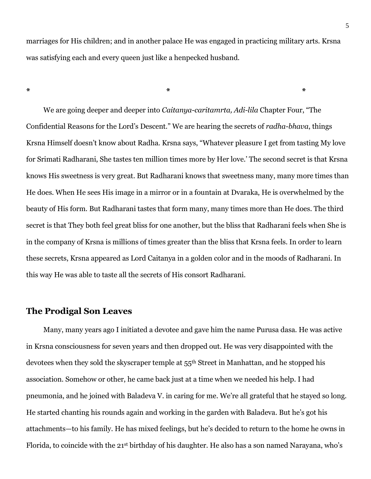marriages for His children; and in another palace He was engaged in practicing military arts. Krsna was satisfying each and every queen just like a henpecked husband.

**\* \* \***

 We are going deeper and deeper into *Caitanya-caritamrta, Adi-lila* Chapter Four, "The Confidential Reasons for the Lord's Descent." We are hearing the secrets of *radha-bhava*, things Krsna Himself doesn't know about Radha. Krsna says, "Whatever pleasure I get from tasting My love for Srimati Radharani, She tastes ten million times more by Her love.' The second secret is that Krsna knows His sweetness is very great. But Radharani knows that sweetness many, many more times than He does. When He sees His image in a mirror or in a fountain at Dvaraka, He is overwhelmed by the beauty of His form. But Radharani tastes that form many, many times more than He does. The third secret is that They both feel great bliss for one another, but the bliss that Radharani feels when She is in the company of Krsna is millions of times greater than the bliss that Krsna feels. In order to learn these secrets, Krsna appeared as Lord Caitanya in a golden color and in the moods of Radharani. In this way He was able to taste all the secrets of His consort Radharani.

### **The Prodigal Son Leaves**

 Many, many years ago I initiated a devotee and gave him the name Purusa dasa. He was active in Krsna consciousness for seven years and then dropped out. He was very disappointed with the devotees when they sold the skyscraper temple at 55<sup>th</sup> Street in Manhattan, and he stopped his association. Somehow or other, he came back just at a time when we needed his help. I had pneumonia, and he joined with Baladeva V. in caring for me. We're all grateful that he stayed so long. He started chanting his rounds again and working in the garden with Baladeva. But he's got his attachments—to his family. He has mixed feelings, but he's decided to return to the home he owns in Florida, to coincide with the 21st birthday of his daughter. He also has a son named Narayana, who's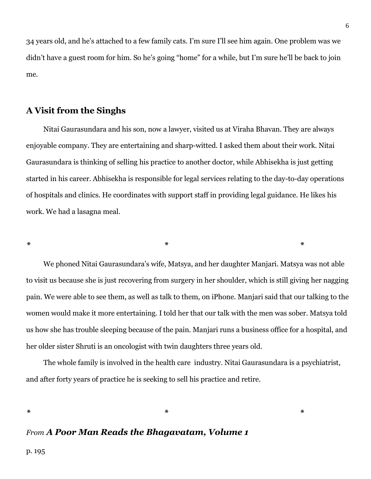34 years old, and he's attached to a few family cats. I'm sure I'll see him again. One problem was we didn't have a guest room for him. So he's going "home" for a while, but I'm sure he'll be back to join me.

# **A Visit from the Singhs**

 Nitai Gaurasundara and his son, now a lawyer, visited us at Viraha Bhavan. They are always enjoyable company. They are entertaining and sharp-witted. I asked them about their work. Nitai Gaurasundara is thinking of selling his practice to another doctor, while Abhisekha is just getting started in his career. Abhisekha is responsible for legal services relating to the day-to-day operations of hospitals and clinics. He coordinates with support staff in providing legal guidance. He likes his work. We had a lasagna meal.

*\* \* \**

 We phoned Nitai Gaurasundara's wife, Matsya, and her daughter Manjari. Matsya was not able to visit us because she is just recovering from surgery in her shoulder, which is still giving her nagging pain. We were able to see them, as well as talk to them, on iPhone. Manjari said that our talking to the women would make it more entertaining. I told her that our talk with the men was sober. Matsya told us how she has trouble sleeping because of the pain. Manjari runs a business office for a hospital, and her older sister Shruti is an oncologist with twin daughters three years old.

 The whole family is involved in the health care industry. Nitai Gaurasundara is a psychiatrist, and after forty years of practice he is seeking to sell his practice and retire.

*\* \* \**

# *From A Poor Man Reads the Bhagavatam, Volume 1*

p. 195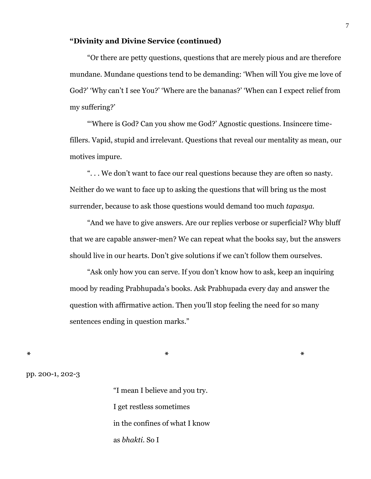#### **"Divinity and Divine Service (continued)**

 "Or there are petty questions, questions that are merely pious and are therefore mundane. Mundane questions tend to be demanding: 'When will You give me love of God?' 'Why can't I see You?' 'Where are the bananas?' 'When can I expect relief from my suffering?'

 "'Where is God? Can you show me God?' Agnostic questions. Insincere timefillers. Vapid, stupid and irrelevant. Questions that reveal our mentality as mean, our motives impure.

 ". . . We don't want to face our real questions because they are often so nasty. Neither do we want to face up to asking the questions that will bring us the most surrender, because to ask those questions would demand too much *tapasya.*

 "And we have to give answers. Are our replies verbose or superficial? Why bluff that we are capable answer-men? We can repeat what the books say, but the answers should live in our hearts. Don't give solutions if we can't follow them ourselves.

 "Ask only how you can serve. If you don't know how to ask, keep an inquiring mood by reading Prabhupada's books. Ask Prabhupada every day and answer the question with affirmative action. Then you'll stop feeling the need for so many sentences ending in question marks."

*\* \* \**

pp. 200-1, 202-3

"I mean I believe and you try. I get restless sometimes in the confines of what I know as *bhakti*. So I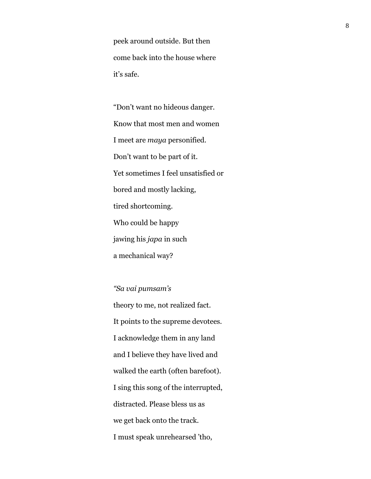peek around outside. But then come back into the house where it's safe.

"Don't want no hideous danger. Know that most men and women I meet are *maya* personified. Don't want to be part of it. Yet sometimes I feel unsatisfied or bored and mostly lacking, tired shortcoming. Who could be happy jawing his *japa* in such a mechanical way?

*"Sa vai pumsam's* theory to me, not realized fact. It points to the supreme devotees. I acknowledge them in any land and I believe they have lived and walked the earth (often barefoot). I sing this song of the interrupted, distracted. Please bless us as we get back onto the track. I must speak unrehearsed 'tho,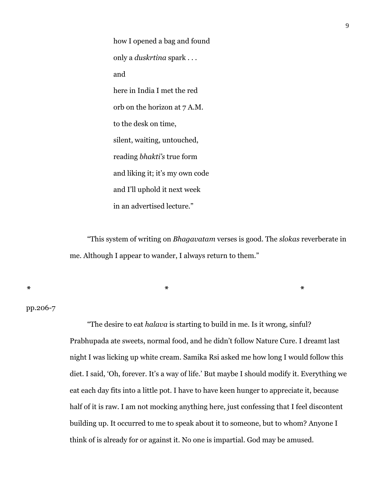how I opened a bag and found only a *duskrtina* spark . . . and here in India I met the red orb on the horizon at 7 A.M. to the desk on time, silent, waiting, untouched, reading *bhakti's* true form and liking it; it's my own code and I'll uphold it next week in an advertised lecture."

*\* \* \**

 "This system of writing on *Bhagavatam* verses is good. The *slokas* reverberate in me. Although I appear to wander, I always return to them."

pp.206-7

 "The desire to eat *halava* is starting to build in me. Is it wrong, sinful? Prabhupada ate sweets, normal food, and he didn't follow Nature Cure. I dreamt last night I was licking up white cream. Samika Rsi asked me how long I would follow this diet. I said, 'Oh, forever. It's a way of life.' But maybe I should modify it. Everything we eat each day fits into a little pot. I have to have keen hunger to appreciate it, because half of it is raw. I am not mocking anything here, just confessing that I feel discontent building up. It occurred to me to speak about it to someone, but to whom? Anyone I think of is already for or against it. No one is impartial. God may be amused.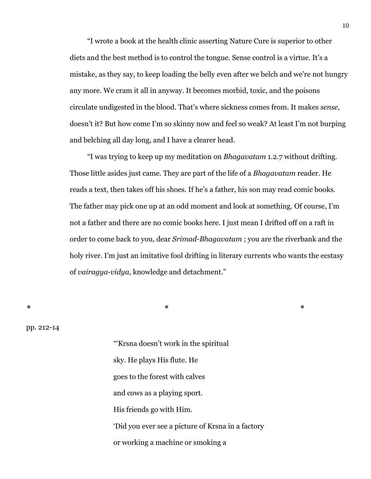"I wrote a book at the health clinic asserting Nature Cure is superior to other diets and the best method is to control the tongue. Sense control is a virtue. It's a mistake, as they say, to keep loading the belly even after we belch and we're not hungry any more. We cram it all in anyway. It becomes morbid, toxic, and the poisons circulate undigested in the blood. That's where sickness comes from. It makes *sense*, doesn't it? But how come I'm so skinny now and feel so weak? At least I'm not burping and belching all day long, and I have a clearer head.

 "I was trying to keep up my meditation on *Bhagavatam* 1.2.7 without drifting. Those little asides just came. They are part of the life of a *Bhagavatam* reader. He reads a text, then takes off his shoes. If he's a father, his son may read comic books. The father may pick one up at an odd moment and look at something. Of course, I'm not a father and there are no comic books here. I just mean I drifted off on a raft in order to come back to you, dear *Srimad-Bhagavatam* ; you are the riverbank and the holy river. I'm just an imitative fool drifting in literary currents who wants the ecstasy of *vairagya-vidya*, knowledge and detachment."

*\* \* \**

pp. 212-14

"'Krsna doesn't work in the spiritual sky. He plays His flute. He goes to the forest with calves and cows as a playing sport. His friends go with Him. 'Did you ever see a picture of Krsna in a factory or working a machine or smoking a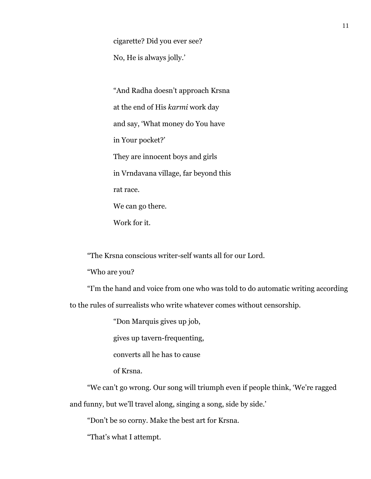cigarette? Did you ever see?

No, He is always jolly.'

"And Radha doesn't approach Krsna at the end of His *karmi* work day and say, 'What money do You have in Your pocket?' They are innocent boys and girls in Vrndavana village, far beyond this rat race. We can go there. Work for it.

"The Krsna conscious writer-self wants all for our Lord.

"Who are you?

 "I'm the hand and voice from one who was told to do automatic writing according to the rules of surrealists who write whatever comes without censorship.

"Don Marquis gives up job,

gives up tavern-frequenting,

converts all he has to cause

of Krsna.

 "We can't go wrong. Our song will triumph even if people think, 'We're ragged and funny, but we'll travel along, singing a song, side by side.'

"Don't be so corny. Make the best art for Krsna.

"That's what I attempt.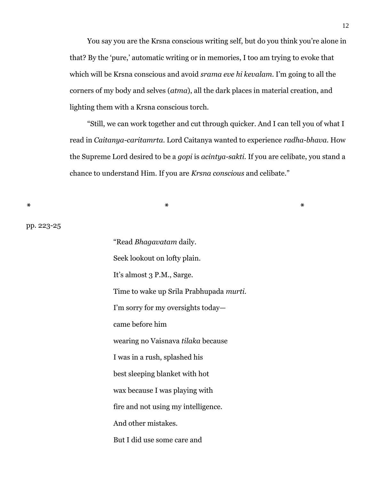You say you are the Krsna conscious writing self, but do you think you're alone in that? By the 'pure,' automatic writing or in memories, I too am trying to evoke that which will be Krsna conscious and avoid *srama eve hi kevalam.* I'm going to all the corners of my body and selves (*atma*), all the dark places in material creation, and lighting them with a Krsna conscious torch.

 "Still, we can work together and cut through quicker. And I can tell you of what I read in *Caitanya-caritamrta.* Lord Caitanya wanted to experience *radha-bhava.* How the Supreme Lord desired to be a *gopi* is *acintya-sakti.* If you are celibate, you stand a chance to understand Him. If you are *Krsna conscious* and celibate."

*\* \* \**

pp. 223-25

"Read *Bhagavatam* daily. Seek lookout on lofty plain. It's almost 3 P.M., Sarge. Time to wake up Srila Prabhupada *murti.* I'm sorry for my oversights today came before him wearing no Vaisnava *tilaka* because I was in a rush, splashed his best sleeping blanket with hot wax because I was playing with fire and not using my intelligence. And other mistakes. But I did use some care and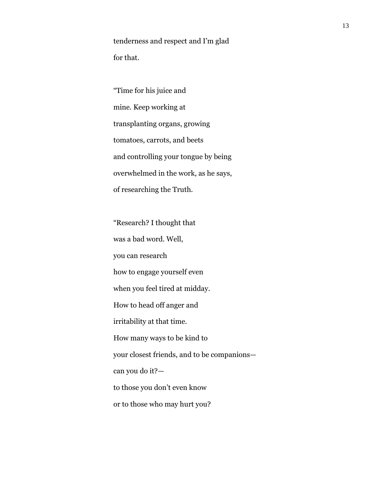tenderness and respect and I'm glad for that.

"Time for his juice and mine. Keep working at transplanting organs, growing tomatoes, carrots, and beets and controlling your tongue by being overwhelmed in the work, as he says, of researching the Truth.

"Research? I thought that was a bad word. Well, you can research how to engage yourself even when you feel tired at midday. How to head off anger and irritability at that time. How many ways to be kind to your closest friends, and to be companions can you do it? to those you don't even know or to those who may hurt you?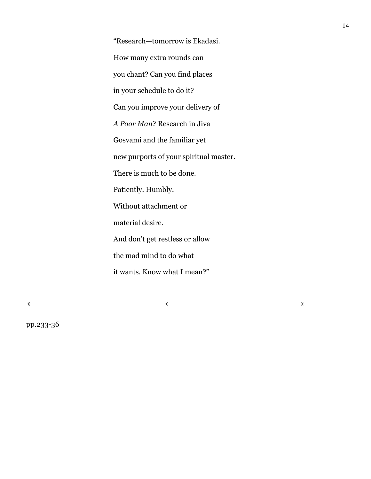"Research—tomorrow is Ekadasi. How many extra rounds can you chant? Can you find places in your schedule to do it? Can you improve your delivery of *A Poor Man*? Research in Jiva Gosvami and the familiar yet new purports of your spiritual master. There is much to be done. Patiently. Humbly. Without attachment or material desire. And don't get restless or allow the mad mind to do what it wants. Know what I mean?"

*\* \* \**

pp.233-36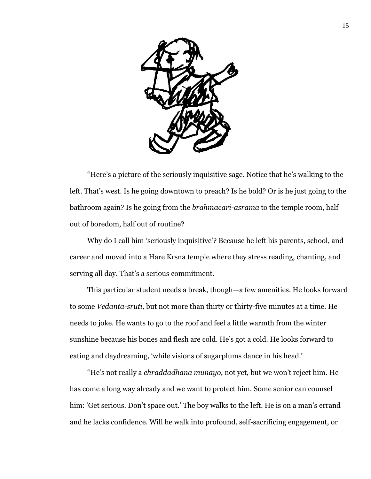

 "Here's a picture of the seriously inquisitive sage. Notice that he's walking to the left. That's west. Is he going downtown to preach? Is he bold? Or is he just going to the bathroom again? Is he going from the *brahmacari-asrama* to the temple room, half out of boredom, half out of routine?

 Why do I call him 'seriously inquisitive'? Because he left his parents, school, and career and moved into a Hare Krsna temple where they stress reading, chanting, and serving all day. That's a serious commitment.

 This particular student needs a break, though—a few amenities. He looks forward to some *Vedanta-sruti,* but not more than thirty or thirty-five minutes at a time. He needs to joke. He wants to go to the roof and feel a little warmth from the winter sunshine because his bones and flesh are cold. He's got a cold. He looks forward to eating and daydreaming, 'while visions of sugarplums dance in his head.'

 "He's not really a *chraddadhana munayo,* not yet, but we won't reject him. He has come a long way already and we want to protect him. Some senior can counsel him: 'Get serious. Don't space out.' The boy walks to the left. He is on a man's errand and he lacks confidence. Will he walk into profound, self-sacrificing engagement, or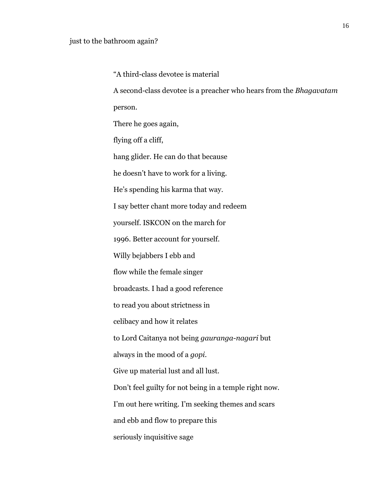"A third-class devotee is material A second-class devotee is a preacher who hears from the *Bhagavatam* person. There he goes again, flying off a cliff, hang glider. He can do that because he doesn't have to work for a living. He's spending his karma that way. I say better chant more today and redeem yourself. ISKCON on the march for 1996. Better account for yourself. Willy bejabbers I ebb and flow while the female singer broadcasts. I had a good reference to read you about strictness in celibacy and how it relates to Lord Caitanya not being *gauranga-nagari* but always in the mood of a *gopi.* Give up material lust and all lust. Don't feel guilty for not being in a temple right now. I'm out here writing. I'm seeking themes and scars and ebb and flow to prepare this seriously inquisitive sage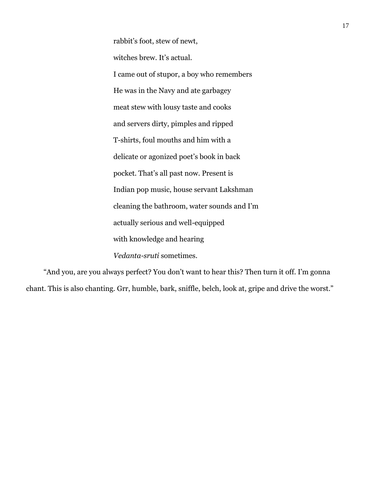rabbit's foot, stew of newt, witches brew. It's actual. I came out of stupor, a boy who remembers He was in the Navy and ate garbagey meat stew with lousy taste and cooks and servers dirty, pimples and ripped T-shirts, foul mouths and him with a delicate or agonized poet's book in back pocket. That's all past now. Present is Indian pop music, house servant Lakshman cleaning the bathroom, water sounds and I'm actually serious and well-equipped with knowledge and hearing *Vedanta-sruti* sometimes.

 "And you, are you always perfect? You don't want to hear this? Then turn it off. I'm gonna chant. This is also chanting. Grr, humble, bark, sniffle, belch, look at, gripe and drive the worst."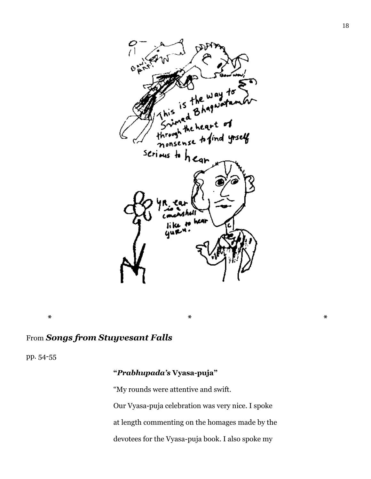

# From *Songs from Stuyvesant Falls*

pp. 54-55

# **"***Prabhupada's* **Vyasa-puja"**

"My rounds were attentive and swift. Our Vyasa-puja celebration was very nice. I spoke at length commenting on the homages made by the devotees for the Vyasa-puja book. I also spoke my

**\* \* \***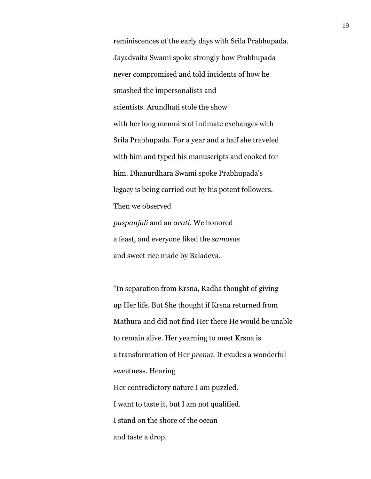reminiscences of the early days with Srila Prabhupada. Jayadvaita Swami spoke strongly how Prabhupada never compromised and told incidents of how he smashed the impersonalists and scientists. Arundhati stole the show with her long memoirs of intimate exchanges with Srila Prabhupada. For a year and a half she traveled with him and typed his manuscripts and cooked for him. Dhanurdhara Swami spoke Prabhupada's legacy is being carried out by his potent followers. Then we observed *puspanjali* and an *arati.* We honored a feast, and everyone liked the *samosas* and sweet rice made by Baladeva.

"In separation from Krsna, Radha thought of giving up Her life. But She thought if Krsna returned from Mathura and did not find Her there He would be unable to remain alive. Her yearning to meet Krsna is a transformation of Her *prema.* It exudes a wonderful sweetness. Hearing Her contradictory nature I am puzzled. I want to taste it, but I am not qualified. I stand on the shore of the ocean and taste a drop.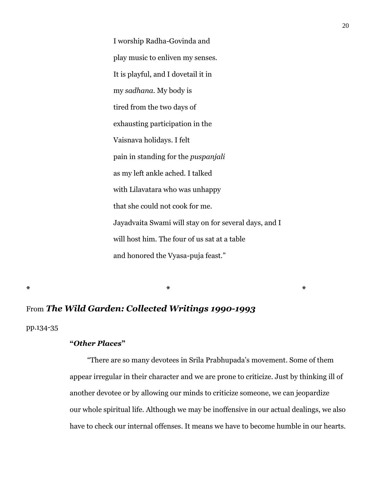I worship Radha-Govinda and play music to enliven my senses. It is playful, and I dovetail it in my *sadhana.* My body is tired from the two days of exhausting participation in the Vaisnava holidays. I felt pain in standing for the *puspanjali* as my left ankle ached. I talked with Lilavatara who was unhappy that she could not cook for me. Jayadvaita Swami will stay on for several days, and I will host him. The four of us sat at a table and honored the Vyasa-puja feast."

**\* \* \***

# From *The Wild Garden: Collected Writings 1990-1993*

pp.134-35

### **"***Other Places***"**

 "There are so many devotees in Srila Prabhupada's movement. Some of them appear irregular in their character and we are prone to criticize. Just by thinking ill of another devotee or by allowing our minds to criticize someone, we can jeopardize our whole spiritual life. Although we may be inoffensive in our actual dealings, we also have to check our internal offenses. It means we have to become humble in our hearts.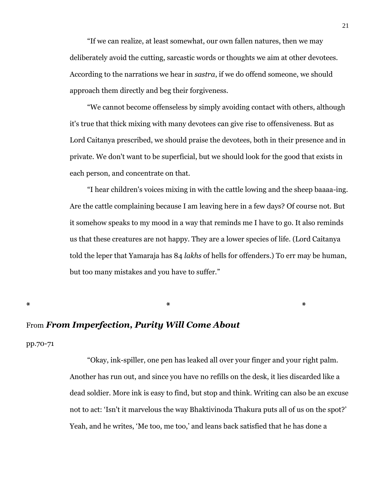"If we can realize, at least somewhat, our own fallen natures, then we may deliberately avoid the cutting, sarcastic words or thoughts we aim at other devotees. According to the narrations we hear in *sastra*, if we do offend someone, we should approach them directly and beg their forgiveness.

 "We cannot become offenseless by simply avoiding contact with others, although it's true that thick mixing with many devotees can give rise to offensiveness. But as Lord Caitanya prescribed, we should praise the devotees, both in their presence and in private. We don't want to be superficial, but we should look for the good that exists in each person, and concentrate on that.

 "I hear children's voices mixing in with the cattle lowing and the sheep baaaa-ing. Are the cattle complaining because I am leaving here in a few days? Of course not. But it somehow speaks to my mood in a way that reminds me I have to go. It also reminds us that these creatures are not happy. They are a lower species of life. (Lord Caitanya told the leper that Yamaraja has 84 *lakhs* of hells for offenders.) To err may be human, but too many mistakes and you have to suffer."

**\* \* \***

#### From *From Imperfection, Purity Will Come About*

pp.70-71

 "Okay, ink-spiller, one pen has leaked all over your finger and your right palm. Another has run out, and since you have no refills on the desk, it lies discarded like a dead soldier. More ink is easy to find, but stop and think. Writing can also be an excuse not to act: 'Isn't it marvelous the way Bhaktivinoda Thakura puts all of us on the spot?' Yeah, and he writes, 'Me too, me too,' and leans back satisfied that he has done a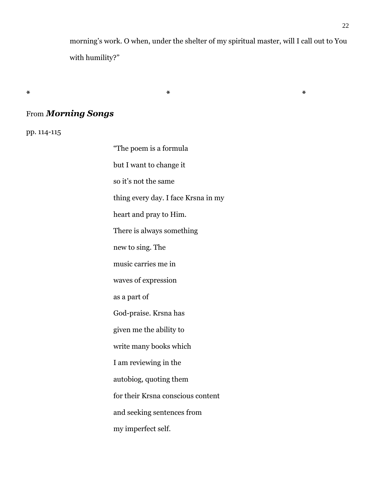morning's work. O when, under the shelter of my spiritual master, will I call out to You with humility?"

**\* \* \***

# From *Morning Songs*

pp. 114-115

"The poem is a formula but I want to change it so it's not the same thing every day. I face Krsna in my heart and pray to Him. There is always something new to sing. The music carries me in waves of expression as a part of God-praise. Krsna has given me the ability to write many books which I am reviewing in the autobiog, quoting them for their Krsna conscious content and seeking sentences from my imperfect self.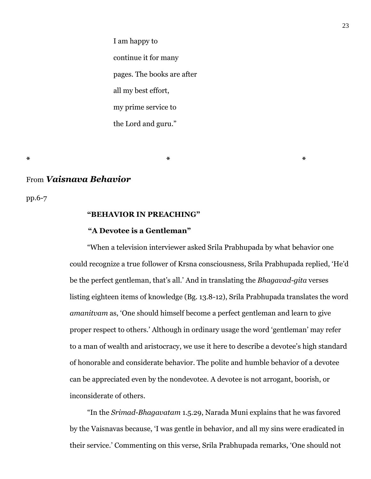I am happy to continue it for many pages. The books are after all my best effort, my prime service to the Lord and guru."

**\* \* \***

#### From *Vaisnava Behavior*

pp.6-7

#### **"BEHAVIOR IN PREACHING"**

#### **"A Devotee is a Gentleman"**

 "When a television interviewer asked Srila Prabhupada by what behavior one could recognize a true follower of Krsna consciousness, Srila Prabhupada replied, 'He'd be the perfect gentleman, that's all.' And in translating the *Bhagavad-gita* verses listing eighteen items of knowledge (Bg. 13.8-12), Srila Prabhupada translates the word *amanitvam* as, 'One should himself become a perfect gentleman and learn to give proper respect to others.' Although in ordinary usage the word 'gentleman' may refer to a man of wealth and aristocracy, we use it here to describe a devotee's high standard of honorable and considerate behavior. The polite and humble behavior of a devotee can be appreciated even by the nondevotee. A devotee is not arrogant, boorish, or inconsiderate of others.

 "In the *Srimad-Bhagavatam* 1.5.29, Narada Muni explains that he was favored by the Vaisnavas because, 'I was gentle in behavior, and all my sins were eradicated in their service.' Commenting on this verse, Srila Prabhupada remarks, 'One should not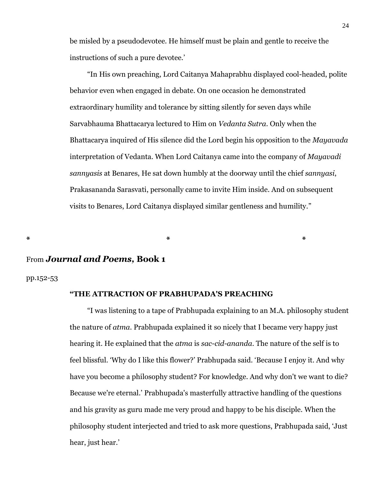be misled by a pseudodevotee. He himself must be plain and gentle to receive the instructions of such a pure devotee.'

 "In His own preaching, Lord Caitanya Mahaprabhu displayed cool-headed, polite behavior even when engaged in debate. On one occasion he demonstrated extraordinary humility and tolerance by sitting silently for seven days while Sarvabhauma Bhattacarya lectured to Him on *Vedanta Sutra*. Only when the Bhattacarya inquired of His silence did the Lord begin his opposition to the *Mayavada* interpretation of Vedanta. When Lord Caitanya came into the company of *Mayavadi sannyasis* at Benares, He sat down humbly at the doorway until the chief *sannyasi*, Prakasananda Sarasvati, personally came to invite Him inside. And on subsequent visits to Benares, Lord Caitanya displayed similar gentleness and humility."

**\* \* \***

# From *Journal and Poems,* **Book 1**

pp.152-53

#### **"THE ATTRACTION OF PRABHUPADA'S PREACHING**

 "I was listening to a tape of Prabhupada explaining to an M.A. philosophy student the nature of *atma*. Prabhupada explained it so nicely that I became very happy just hearing it. He explained that the *atma* is *sac-cid-ananda*. The nature of the self is to feel blissful. 'Why do I like this flower?' Prabhupada said. 'Because I enjoy it. And why have you become a philosophy student? For knowledge. And why don't we want to die? Because we're eternal.' Prabhupada's masterfully attractive handling of the questions and his gravity as guru made me very proud and happy to be his disciple. When the philosophy student interjected and tried to ask more questions, Prabhupada said, 'Just hear, just hear.'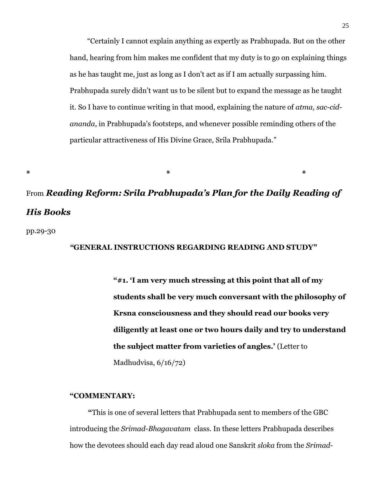"Certainly I cannot explain anything as expertly as Prabhupada. But on the other hand, hearing from him makes me confident that my duty is to go on explaining things as he has taught me, just as long as I don't act as if I am actually surpassing him. Prabhupada surely didn't want us to be silent but to expand the message as he taught it. So I have to continue writing in that mood, explaining the nature of *atma, sac-cidananda*, in Prabhupada's footsteps, and whenever possible reminding others of the particular attractiveness of His Divine Grace, Srila Prabhupada."

# From *Reading Reform: Srila Prabhupada's Plan for the Daily Reading of His Books*

**\* \* \***

pp.29-30

#### *"***GENERAL INSTRUCTIONS REGARDING READING AND STUDY"**

**"#1. 'I am very much stressing at this point that all of my students shall be very much conversant with the philosophy of Krsna consciousness and they should read our books very diligently at least one or two hours daily and try to understand the subject matter from varieties of angles.'** (Letter to Madhudvisa, 6/16/72)

#### **"COMMENTARY:**

 **"**This is one of several letters that Prabhupada sent to members of the GBC introducing the *Srimad-Bhagavatam* class. In these letters Prabhupada describes how the devotees should each day read aloud one Sanskrit *sloka* from the *Srimad-*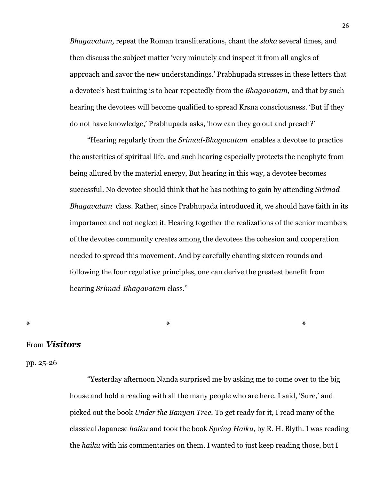*Bhagavatam,* repeat the Roman transliterations, chant the *sloka* several times, and then discuss the subject matter 'very minutely and inspect it from all angles of approach and savor the new understandings.' Prabhupada stresses in these letters that a devotee's best training is to hear repeatedly from the *Bhagavatam,* and that by such hearing the devotees will become qualified to spread Krsna consciousness. 'But if they do not have knowledge,' Prabhupada asks, 'how can they go out and preach?'

 "Hearing regularly from the *Srimad-Bhagavatam* enables a devotee to practice the austerities of spiritual life, and such hearing especially protects the neophyte from being allured by the material energy, But hearing in this way, a devotee becomes successful. No devotee should think that he has nothing to gain by attending *Srimad-Bhagavatam* class. Rather, since Prabhupada introduced it, we should have faith in its importance and not neglect it. Hearing together the realizations of the senior members of the devotee community creates among the devotees the cohesion and cooperation needed to spread this movement. And by carefully chanting sixteen rounds and following the four regulative principles, one can derive the greatest benefit from hearing *Srimad-Bhagavatam* class."

# **\* \* \***

#### From *Visitors*

#### pp. 25-26

 "Yesterday afternoon Nanda surprised me by asking me to come over to the big house and hold a reading with all the many people who are here. I said, 'Sure,' and picked out the book *Under the Banyan Tree.* To get ready for it, I read many of the classical Japanese *haiku* and took the book *Spring Haiku*, by R. H. Blyth. I was reading the *haiku* with his commentaries on them. I wanted to just keep reading those, but I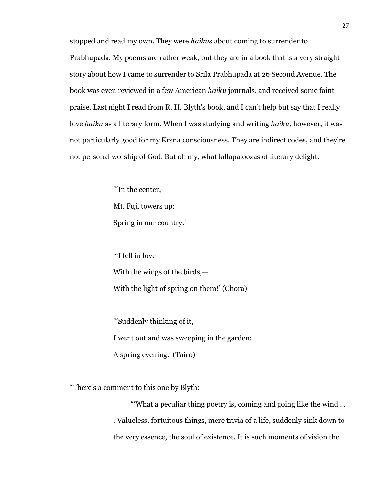stopped and read my own. They were *haikus* about coming to surrender to Prabhupada. My poems are rather weak, but they are in a book that is a very straight story about how I came to surrender to Srila Prabhupada at 26 Second Avenue. The book was even reviewed in a few American *haiku* journals, and received some faint praise. Last night I read from R. H. Blyth's book, and I can't help but say that I really love *haiku* as a literary form. When I was studying and writing *haiku,* however, it was not particularly good for my Krsna consciousness. They are indirect codes, and they're not personal worship of God. But oh my, what lallapaloozas of literary delight.

> "'In the center, Mt. Fuji towers up: Spring in our country.'

"'I fell in love With the wings of the birds,— With the light of spring on them!' (Chora)

"'Suddenly thinking of it, I went out and was sweeping in the garden: A spring evening.' (Tairo)

"There's a comment to this one by Blyth:

 "'What a peculiar thing poetry is, coming and going like the wind . . . Valueless, fortuitous things, mere trivia of a life, suddenly sink down to the very essence, the soul of existence. It is such moments of vision the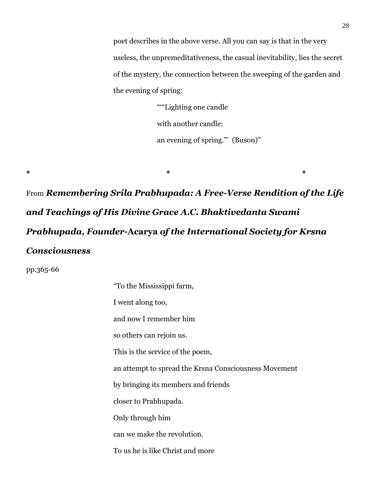poet describes in the above verse. All you can say is that in the very useless, the unpremeditativeness, the casual inevitability, lies the secret of the mystery, the connection between the sweeping of the garden and the evening of spring:

> ""Lighting one candle" with another candle: an evening of spring."' (Buson)"

From *Remembering Srila Prabhupada: A Free-Verse Rendition of the Life and Teachings of His Divine Grace A.C. Bhaktivedanta Swami Prabhupada, Founder-***Acarya** *of the International Society for Krsna Consciousness*

**\* \* \***

pp.365-66

| "To the Mississippi farm,                             |
|-------------------------------------------------------|
| I went along too,                                     |
| and now I remember him                                |
| so others can rejoin us.                              |
| This is the service of the poem,                      |
| an attempt to spread the Krsna Consciousness Movement |
| by bringing its members and friends                   |
| closer to Prabhupada.                                 |
| Only through him                                      |
| can we make the revolution.                           |
| To us he is like Christ and more                      |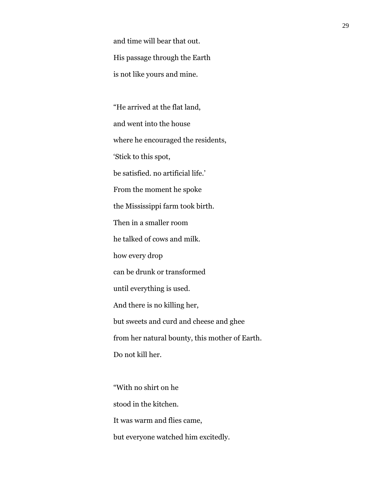and time will bear that out. His passage through the Earth is not like yours and mine.

"He arrived at the flat land, and went into the house where he encouraged the residents, 'Stick to this spot, be satisfied. no artificial life.' From the moment he spoke the Mississippi farm took birth. Then in a smaller room he talked of cows and milk. how every drop can be drunk or transformed until everything is used. And there is no killing her, but sweets and curd and cheese and ghee from her natural bounty, this mother of Earth. Do not kill her.

"With no shirt on he stood in the kitchen. It was warm and flies came, but everyone watched him excitedly.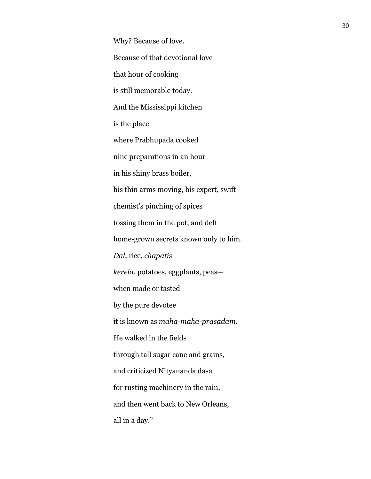Why? Because of love. Because of that devotional love that hour of cooking is still memorable today. And the Mississippi kitchen is the place where Prabhupada cooked nine preparations in an hour in his shiny brass boiler, his thin arms moving, his expert, swift chemist's pinching of spices tossing them in the pot, and deft home-grown secrets known only to him. *Dal*, rice, *chapatis kerela,* potatoes, eggplants, peas when made or tasted by the pure devotee it is known as *maha-maha-prasadam.* He walked in the fields through tall sugar cane and grains, and criticized Nityananda dasa for rusting machinery in the rain, and then went back to New Orleans, all in a day."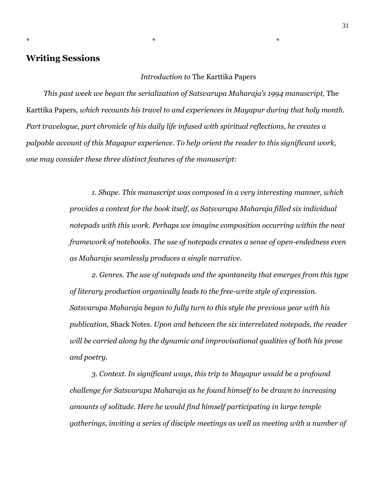# **Writing Sessions**

#### *Introduction to* The Karttika Papers

 *This past week we began the serialization of Satsvarupa Maharaja's 1994 manuscript,* The Karttika Papers*, which recounts his travel to and experiences in Mayapur during that holy month. Part travelogue, part chronicle of his daily life infused with spiritual reflections, he creates a palpable account of this Mayapur experience. To help orient the reader to this significant work, one may consider these three distinct features of the manuscript:*

 $*$  \*

*1. Shape. This manuscript was composed in a very interesting manner, which provides a context for the book itself, as Satsvarupa Maharaja filled six individual notepads with this work. Perhaps we imagine composition occurring within the neat framework of notebooks. The use of notepads creates a sense of open-endedness even as Maharaja seamlessly produces a single narrative.*

*2. Genres. The use of notepads and the spontaneity that emerges from this type of literary production organically leads to the free-write style of expression. Satsvarupa Maharaja began to fully turn to this style the previous year with his publication,* Shack Notes. *Upon and between the six interrelated notepads, the reader will be carried along by the dynamic and improvisational qualities of both his prose and poetry.*

*3. Context. In significant ways, this trip to Mayapur would be a profound challenge for Satsvarupa Maharaja as he found himself to be drawn to increasing amounts of solitude. Here he would find himself participating in large temple gatherings, inviting a series of disciple meetings as well as meeting with a number of*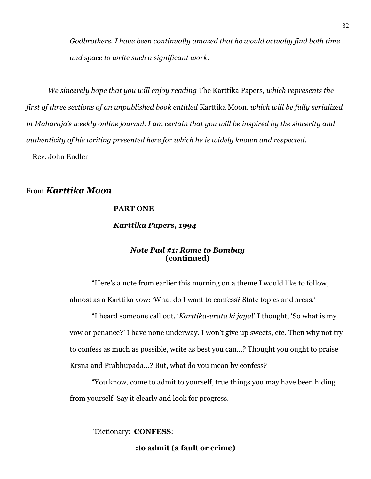*Godbrothers. I have been continually amazed that he would actually find both time and space to write such a significant work.*

*We sincerely hope that you will enjoy reading* The Karttika Papers*, which represents the first of three sections of an unpublished book entitled* Karttika Moon*, which will be fully serialized in Maharaja's weekly online journal. I am certain that you will be inspired by the sincerity and authenticity of his writing presented here for which he is widely known and respected.* —Rev. John Endler

# From *Karttika Moon*

#### **PART ONE**

#### *Karttika Papers, 1994*

#### *Note Pad #1: Rome to Bombay* **(continued)**

"Here's a note from earlier this morning on a theme I would like to follow, almost as a Karttika vow: 'What do I want to confess? State topics and areas.'

"I heard someone call out, '*Karttika-vrata ki jaya*!' I thought, 'So what is my vow or penance?' I have none underway. I won't give up sweets, etc. Then why not try to confess as much as possible, write as best you can…? Thought you ought to praise Krsna and Prabhupada…? But, what do you mean by confess?

"You know, come to admit to yourself, true things you may have been hiding from yourself. Say it clearly and look for progress.

"Dictionary: '**CONFESS**:

 **:to admit (a fault or crime)**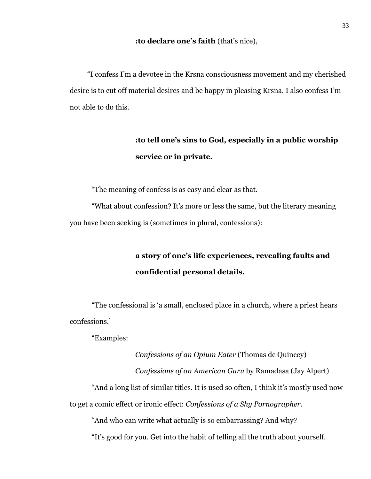#### **:to declare one's faith** (that's nice),

 "I confess I'm a devotee in the Krsna consciousness movement and my cherished desire is to cut off material desires and be happy in pleasing Krsna. I also confess I'm not able to do this.

# **:to tell one's sins to God, especially in a public worship service or in private.**

"The meaning of confess is as easy and clear as that.

"What about confession? It's more or less the same, but the literary meaning you have been seeking is (sometimes in plural, confessions):

> **a story of one's life experiences, revealing faults and confidential personal details.**

"The confessional is 'a small, enclosed place in a church, where a priest hears confessions.'

"Examples:

*Confessions of an Opium Eater* (Thomas de Quincey) *Confessions of an American Guru* by Ramadasa (Jay Alpert) "And a long list of similar titles. It is used so often, I think it's mostly used now to get a comic effect or ironic effect: *Confessions of a Shy Pornographer*.

"And who can write what actually is so embarrassing? And why?

"It's good for you. Get into the habit of telling all the truth about yourself.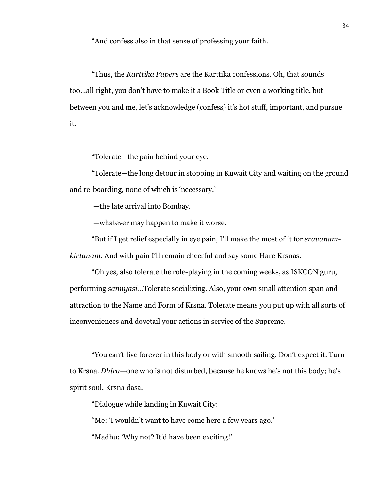"And confess also in that sense of professing your faith.

"Thus, the *Karttika Papers* are the Karttika confessions. Oh, that sounds too…all right, you don't have to make it a Book Title or even a working title, but between you and me, let's acknowledge (confess) it's hot stuff, important, and pursue it.

"Tolerate—the pain behind your eye.

"Tolerate—the long detour in stopping in Kuwait City and waiting on the ground and re-boarding, none of which is 'necessary.'

—the late arrival into Bombay.

—whatever may happen to make it worse.

"But if I get relief especially in eye pain, I'll make the most of it for *sravanamkirtanam*. And with pain I'll remain cheerful and say some Hare Krsnas.

"Oh yes, also tolerate the role-playing in the coming weeks, as ISKCON guru, performing *sannyasi*…Tolerate socializing. Also, your own small attention span and attraction to the Name and Form of Krsna. Tolerate means you put up with all sorts of inconveniences and dovetail your actions in service of the Supreme.

"You can't live forever in this body or with smooth sailing. Don't expect it. Turn to Krsna. *Dhira*—one who is not disturbed, because he knows he's not this body; he's spirit soul, Krsna dasa.

"Dialogue while landing in Kuwait City:

"Me: 'I wouldn't want to have come here a few years ago.'

"Madhu: 'Why not? It'd have been exciting!'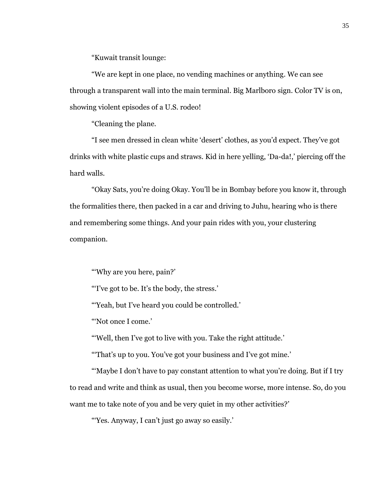"Kuwait transit lounge:

"We are kept in one place, no vending machines or anything. We can see through a transparent wall into the main terminal. Big Marlboro sign. Color TV is on, showing violent episodes of a U.S. rodeo!

"Cleaning the plane.

"I see men dressed in clean white 'desert' clothes, as you'd expect. They've got drinks with white plastic cups and straws. Kid in here yelling, 'Da-da!,' piercing off the hard walls.

"Okay Sats, you're doing Okay. You'll be in Bombay before you know it, through the formalities there, then packed in a car and driving to Juhu, hearing who is there and remembering some things. And your pain rides with you, your clustering companion.

"'Why are you here, pain?'

"'I've got to be. It's the body, the stress.'

"'Yeah, but I've heard you could be controlled.'

"'Not once I come.'

"'Well, then I've got to live with you. Take the right attitude.'

"'That's up to you. You've got your business and I've got mine.'

"'Maybe I don't have to pay constant attention to what you're doing. But if I try to read and write and think as usual, then you become worse, more intense. So, do you want me to take note of you and be very quiet in my other activities?'

"'Yes. Anyway, I can't just go away so easily.'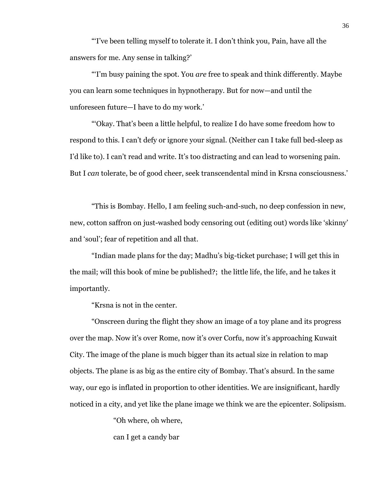"'I've been telling myself to tolerate it. I don't think you, Pain, have all the answers for me. Any sense in talking?'

"'I'm busy paining the spot. You *are* free to speak and think differently. Maybe you can learn some techniques in hypnotherapy. But for now—and until the unforeseen future—I have to do my work.'

"'Okay. That's been a little helpful, to realize I do have some freedom how to respond to this. I can't defy or ignore your signal. (Neither can I take full bed-sleep as I'd like to). I can't read and write. It's too distracting and can lead to worsening pain. But I *can* tolerate, be of good cheer, seek transcendental mind in Krsna consciousness.'

"This is Bombay. Hello, I am feeling such-and-such, no deep confession in new, new, cotton saffron on just-washed body censoring out (editing out) words like 'skinny' and 'soul'; fear of repetition and all that.

"Indian made plans for the day; Madhu's big-ticket purchase; I will get this in the mail; will this book of mine be published?; the little life, the life, and he takes it importantly.

"Krsna is not in the center.

"Onscreen during the flight they show an image of a toy plane and its progress over the map. Now it's over Rome, now it's over Corfu, now it's approaching Kuwait City. The image of the plane is much bigger than its actual size in relation to map objects. The plane is as big as the entire city of Bombay. That's absurd. In the same way, our ego is inflated in proportion to other identities. We are insignificant, hardly noticed in a city, and yet like the plane image we think we are the epicenter. Solipsism.

"Oh where, oh where,

can I get a candy bar